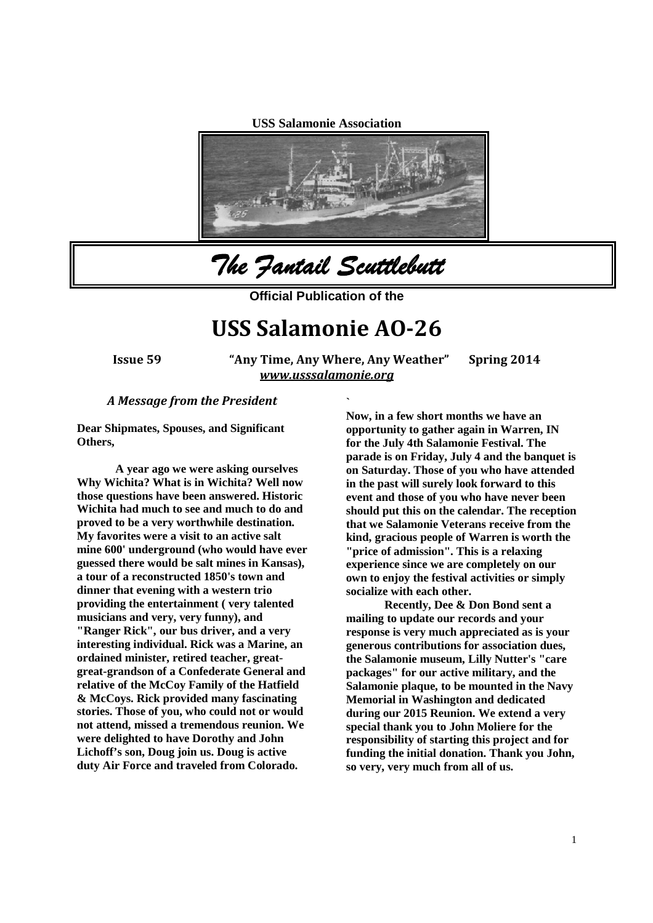**USS Salamonie Association**



*The Fantail Scuttlebutt*

**Official Publication of the**

# **USS Salamonie AO-26**

**Issue 59 "Any Time, Any Where, Any Weather" Spring 2014** *www.usssalamonie.org*

**`**

#### *A Message from the President*

**Dear Shipmates, Spouses, and Significant Others,**

**A year ago we were asking ourselves Why Wichita? What is in Wichita? Well now those questions have been answered. Historic Wichita had much to see and much to do and proved to be a very worthwhile destination. My favorites were a visit to an active salt mine 600' underground (who would have ever guessed there would be salt mines in Kansas), a tour of a reconstructed 1850's town and dinner that evening with a western trio providing the entertainment ( very talented musicians and very, very funny), and "Ranger Rick", our bus driver, and a very interesting individual. Rick was a Marine, an ordained minister, retired teacher, greatgreat-grandson of a Confederate General and relative of the McCoy Family of the Hatfield & McCoys. Rick provided many fascinating stories. Those of you, who could not or would not attend, missed a tremendous reunion. We were delighted to have Dorothy and John Lichoff's son, Doug join us. Doug is active duty Air Force and traveled from Colorado.**

**Now, in a few short months we have an opportunity to gather again in Warren, IN for the July 4th Salamonie Festival. The parade is on Friday, July 4 and the banquet is on Saturday. Those of you who have attended in the past will surely look forward to this event and those of you who have never been should put this on the calendar. The reception that we Salamonie Veterans receive from the kind, gracious people of Warren is worth the "price of admission". This is a relaxing experience since we are completely on our own to enjoy the festival activities or simply socialize with each other.**

**Recently, Dee & Don Bond sent a mailing to update our records and your response is very much appreciated as is your generous contributions for association dues, the Salamonie museum, Lilly Nutter's "care packages" for our active military, and the Salamonie plaque, to be mounted in the Navy Memorial in Washington and dedicated during our 2015 Reunion. We extend a very special thank you to John Moliere for the responsibility of starting this project and for funding the initial donation. Thank you John, so very, very much from all of us.**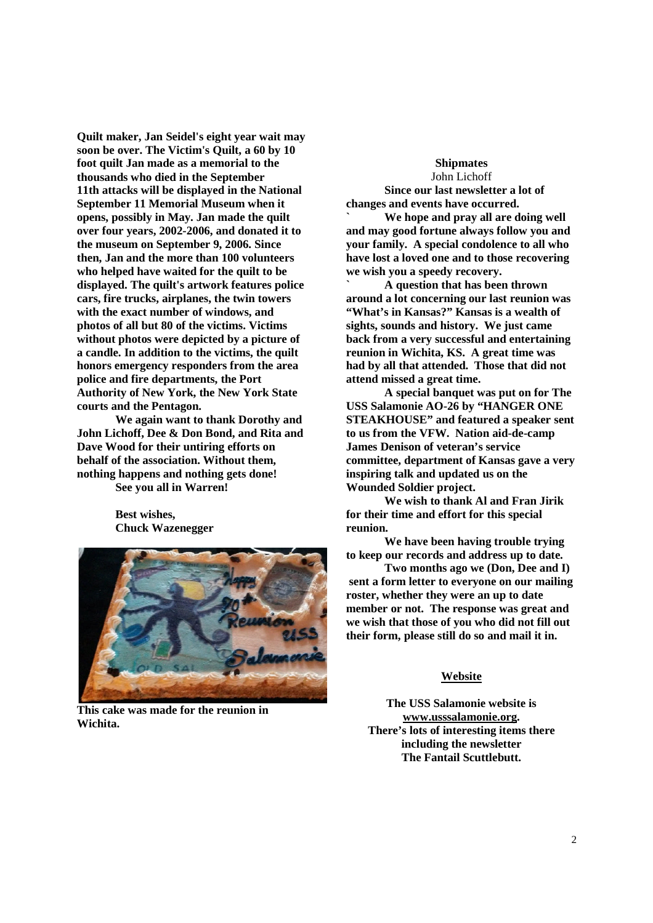**Quilt maker, Jan Seidel's eight year wait may soon be over. The Victim's Quilt, a 60 by 10 foot quilt Jan made as a memorial to the thousands who died in the September 11th attacks will be displayed in the National September 11 Memorial Museum when it opens, possibly in May. Jan made the quilt over four years, 2002-2006, and donated it to the museum on September 9, 2006. Since then, Jan and the more than 100 volunteers who helped have waited for the quilt to be displayed. The quilt's artwork features police cars, fire trucks, airplanes, the twin towers with the exact number of windows, and photos of all but 80 of the victims. Victims without photos were depicted by a picture of a candle. In addition to the victims, the quilt honors emergency responders from the area police and fire departments, the Port Authority of New York, the New York State courts and the Pentagon.**

**We again want to thank Dorothy and John Lichoff, Dee & Don Bond, and Rita and Dave Wood for their untiring efforts on behalf of the association. Without them, nothing happens and nothing gets done! See you all in Warren!**

> **Best wishes, Chuck Wazenegger**



**This cake was made for the reunion in Wichita.**

#### **Shipmates** John Lichoff

**Since our last newsletter a lot of changes and events have occurred.**

**` We hope and pray all are doing well and may good fortune always follow you and your family. A special condolence to all who have lost a loved one and to those recovering we wish you a speedy recovery.**

**` A question that has been thrown around a lot concerning our last reunion was "What's in Kansas?" Kansas is a wealth of sights, sounds and history. We just came back from a very successful and entertaining reunion in Wichita, KS. A great time was had by all that attended. Those that did not attend missed a great time.**

**A special banquet was put on for The USS Salamonie AO-26 by "HANGER ONE STEAKHOUSE" and featured a speaker sent to us from the VFW. Nation aid-de-camp James Denison of veteran's service committee, department of Kansas gave a very inspiring talk and updated us on the Wounded Soldier project.**

**We wish to thank Al and Fran Jirik for their time and effort for this special reunion.**

**We have been having trouble trying to keep our records and address up to date.**

**Two months ago we (Don, Dee and I) sent a form letter to everyone on our mailing roster, whether they were an up to date member or not. The response was great and we wish that those of you who did not fill out their form, please still do so and mail it in.**

#### **Website**

**The USS Salamonie website is www.usssalamonie.org. There's lots of interesting items there including the newsletter The Fantail Scuttlebutt.**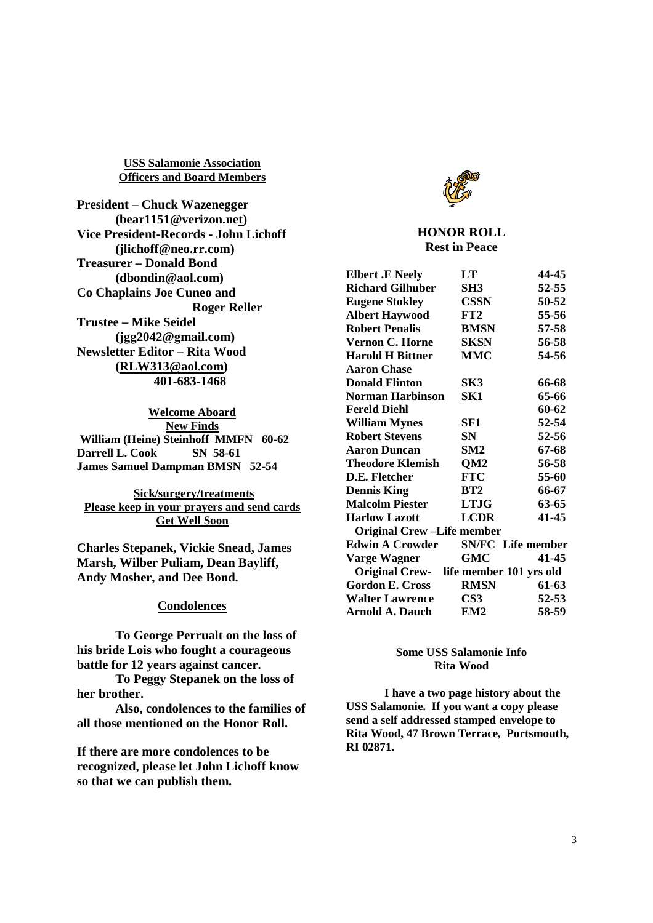**USS Salamonie Association Officers and Board Members**

**President – Chuck Wazenegger (bear1151@verizon.net) Vice President-Records - John Lichoff (jlichoff@neo.rr.com) Treasurer – Donald Bond (dbondin@aol.com) Co Chaplains Joe Cuneo and Roger Reller Trustee – Mike Seidel (jgg2042@gmail.com) Newsletter Editor – Rita Wood (RLW313@aol.com) 401-683-1468**

**Welcome Aboard New Finds William (Heine) Steinhoff MMFN 60-62 Darrell L. Cook SN 58-61 James Samuel Dampman BMSN 52-54**

**Sick/surgery/treatments Please keep in your prayers and send cards Get Well Soon**

**Charles Stepanek, Vickie Snead, James Marsh, Wilber Puliam, Dean Bayliff, Andy Mosher, and Dee Bond.**

### **Condolences**

**To George Perrualt on the loss of his bride Lois who fought a courageous battle for 12 years against cancer.**

**To Peggy Stepanek on the loss of her brother.**

**Also, condolences to the families of all those mentioned on the Honor Roll.**

**If there are more condolences to be recognized, please let John Lichoff know so that we can publish them.**



# **HONOR ROLL Rest in Peace**

| <b>Elbert .E Neely</b>                 | LT                       | 44-45 |
|----------------------------------------|--------------------------|-------|
| <b>Richard Gilhuber</b>                | SH3                      | 52-55 |
| <b>Eugene Stokley</b>                  | <b>CSSN</b>              | 50-52 |
| <b>Albert Haywood</b>                  | FT2                      | 55-56 |
| <b>Robert Penalis</b>                  | <b>BMSN</b>              | 57-58 |
| <b>Vernon C. Horne</b>                 | <b>SKSN</b>              | 56-58 |
| <b>Harold H Bittner</b>                | <b>MMC</b>               | 54-56 |
| <b>Aaron Chase</b>                     |                          |       |
| <b>Donald Flinton</b>                  | SK3                      | 66-68 |
| <b>Norman Harbinson</b>                | SK1                      | 65-66 |
| <b>Fereld Diehl</b>                    |                          | 60-62 |
| <b>William Mynes</b>                   | SF1                      | 52-54 |
| <b>Robert Stevens</b>                  | SN                       | 52-56 |
| Aaron Duncan                           | SM2                      | 67-68 |
| <b>Theodore Klemish</b>                | QM <sub>2</sub>          | 56-58 |
| D.E. Fletcher                          | FTC-                     | 55-60 |
| <b>Dennis King</b>                     | BT2                      | 66-67 |
| <b>Malcolm Piester</b>                 | <b>LTJG</b>              | 63-65 |
| <b>Harlow Lazott</b>                   | <b>LCDR</b>              | 41-45 |
| <b>Original Crew-Life member</b>       |                          |       |
| <b>Edwin A Crowder</b>                 | <b>SN/FC</b> Life member |       |
| Varge Wagner                           | GMC                      | 41-45 |
| Original Crew- life member 101 yrs old |                          |       |
| <b>Gordon E. Cross</b>                 | <b>RMSN</b>              | 61-63 |
| <b>Walter Lawrence</b>                 | $\bf CS3$                | 52-53 |
| Arnold A. Dauch                        | EM <sub>2</sub>          | 58-59 |

#### **Some USS Salamonie Info Rita Wood**

**I have a two page history about the USS Salamonie. If you want a copy please send a self addressed stamped envelope to Rita Wood, 47 Brown Terrace, Portsmouth, RI 02871.**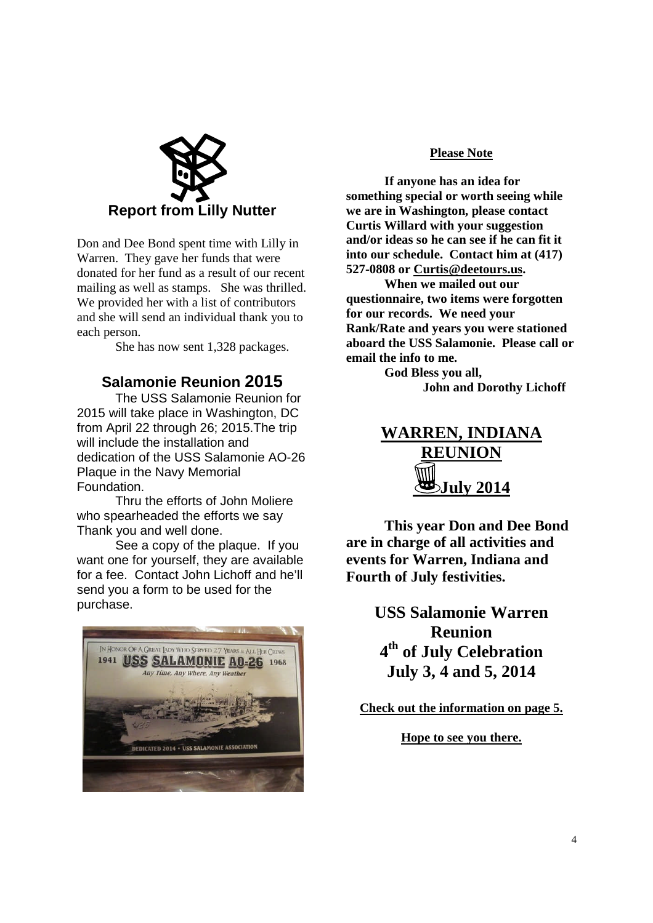

Don and Dee Bond spent time with Lilly in Warren. They gave her funds that were donated for her fund as a result of our recent mailing as well as stamps. She was thrilled. We provided her with a list of contributors and she will send an individual thank you to each person.

She has now sent 1,328 packages.

# **Salamonie Reunion 2015**

The USS Salamonie Reunion for 2015 will take place in Washington, DC from April 22 through 26; 2015.The trip will include the installation and dedication of the USS Salamonie AO-26 Plaque in the Navy Memorial Foundation.

Thru the efforts of John Moliere who spearheaded the efforts we say Thank you and well done.

See a copy of the plaque. If you want one for yourself, they are available for a fee. Contact John Lichoff and he'll send you a form to be used for the purchase.



# **Please Note**

**If anyone has an idea for something special or worth seeing while we are in Washington, please contact Curtis Willard with your suggestion and/or ideas so he can see if he can fit it into our schedule. Contact him at (417) 527-0808 or Curtis@deetours.us.**

**When we mailed out our questionnaire, two items were forgotten for our records. We need your Rank/Rate and years you were stationed aboard the USS Salamonie. Please call or email the info to me.**

> **God Bless you all, John and Dorothy Lichoff**

**WARREN, INDIANA REUNION July 2014**

**This year Don and Dee Bond are in charge of all activities and events for Warren, Indiana and Fourth of July festivities.**

> **USS Salamonie Warren Reunion 4 th of July Celebration July 3, 4 and 5, 2014**

**Check out the information on page 5.**

**Hope to see you there.**